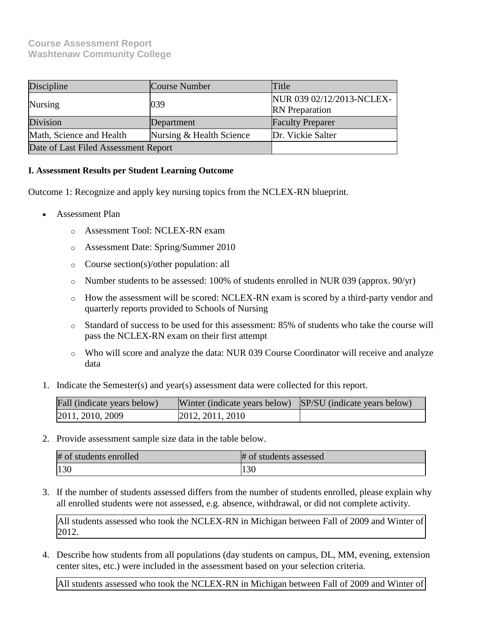# **Course Assessment Report Washtenaw Community College**

| Discipline                           | Course Number            | Title                                              |
|--------------------------------------|--------------------------|----------------------------------------------------|
| Nursing                              | 039                      | NUR 039 02/12/2013-NCLEX-<br><b>RN</b> Preparation |
| Division                             | Department               | <b>Faculty Preparer</b>                            |
| Math, Science and Health             | Nursing & Health Science | Dr. Vickie Salter                                  |
| Date of Last Filed Assessment Report |                          |                                                    |

## **I. Assessment Results per Student Learning Outcome**

Outcome 1: Recognize and apply key nursing topics from the NCLEX-RN blueprint.

- Assessment Plan
	- o Assessment Tool: NCLEX-RN exam
	- o Assessment Date: Spring/Summer 2010
	- o Course section(s)/other population: all
	- o Number students to be assessed: 100% of students enrolled in NUR 039 (approx. 90/yr)
	- o How the assessment will be scored: NCLEX-RN exam is scored by a third-party vendor and quarterly reports provided to Schools of Nursing
	- o Standard of success to be used for this assessment: 85% of students who take the course will pass the NCLEX-RN exam on their first attempt
	- o Who will score and analyze the data: NUR 039 Course Coordinator will receive and analyze data
- 1. Indicate the Semester(s) and year(s) assessment data were collected for this report.

| Fall (indicate years below) | Winter (indicate years below) SP/SU (indicate years below) |  |
|-----------------------------|------------------------------------------------------------|--|
| 2011, 2010, 2009            | [2012, 2011, 2010]                                         |  |

2. Provide assessment sample size data in the table below.

| # of students enrolled | # of students assessed |
|------------------------|------------------------|
| 100                    | $\Omega$<br>1 J U      |

3. If the number of students assessed differs from the number of students enrolled, please explain why all enrolled students were not assessed, e.g. absence, withdrawal, or did not complete activity.

All students assessed who took the NCLEX-RN in Michigan between Fall of 2009 and Winter of 2012.

4. Describe how students from all populations (day students on campus, DL, MM, evening, extension center sites, etc.) were included in the assessment based on your selection criteria.

All students assessed who took the NCLEX-RN in Michigan between Fall of 2009 and Winter of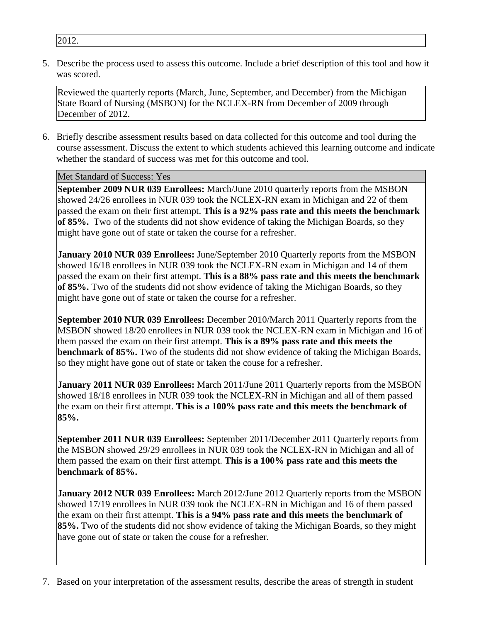2012.

5. Describe the process used to assess this outcome. Include a brief description of this tool and how it was scored.

Reviewed the quarterly reports (March, June, September, and December) from the Michigan State Board of Nursing (MSBON) for the NCLEX-RN from December of 2009 through December of 2012.

6. Briefly describe assessment results based on data collected for this outcome and tool during the course assessment. Discuss the extent to which students achieved this learning outcome and indicate whether the standard of success was met for this outcome and tool.

# Met Standard of Success: Yes

**September 2009 NUR 039 Enrollees:** March/June 2010 quarterly reports from the MSBON showed 24/26 enrollees in NUR 039 took the NCLEX-RN exam in Michigan and 22 of them passed the exam on their first attempt. **This is a 92% pass rate and this meets the benchmark of 85%.** Two of the students did not show evidence of taking the Michigan Boards, so they might have gone out of state or taken the course for a refresher.

**January 2010 NUR 039 Enrollees:** June/September 2010 Quarterly reports from the MSBON showed 16/18 enrollees in NUR 039 took the NCLEX-RN exam in Michigan and 14 of them passed the exam on their first attempt. **This is a 88% pass rate and this meets the benchmark of 85%.** Two of the students did not show evidence of taking the Michigan Boards, so they might have gone out of state or taken the course for a refresher.

**September 2010 NUR 039 Enrollees:** December 2010/March 2011 Quarterly reports from the MSBON showed 18/20 enrollees in NUR 039 took the NCLEX-RN exam in Michigan and 16 of them passed the exam on their first attempt. **This is a 89% pass rate and this meets the benchmark of 85%.** Two of the students did not show evidence of taking the Michigan Boards, so they might have gone out of state or taken the couse for a refresher.

**January 2011 NUR 039 Enrollees:** March 2011/June 2011 Quarterly reports from the MSBON showed 18/18 enrollees in NUR 039 took the NCLEX-RN in Michigan and all of them passed the exam on their first attempt. **This is a 100% pass rate and this meets the benchmark of 85%.**

**September 2011 NUR 039 Enrollees:** September 2011/December 2011 Quarterly reports from the MSBON showed 29/29 enrollees in NUR 039 took the NCLEX-RN in Michigan and all of them passed the exam on their first attempt. **This is a 100% pass rate and this meets the benchmark of 85%.**

**January 2012 NUR 039 Enrollees:** March 2012/June 2012 Quarterly reports from the MSBON showed 17/19 enrollees in NUR 039 took the NCLEX-RN in Michigan and 16 of them passed the exam on their first attempt. **This is a 94% pass rate and this meets the benchmark of 85%.** Two of the students did not show evidence of taking the Michigan Boards, so they might have gone out of state or taken the couse for a refresher.

7. Based on your interpretation of the assessment results, describe the areas of strength in student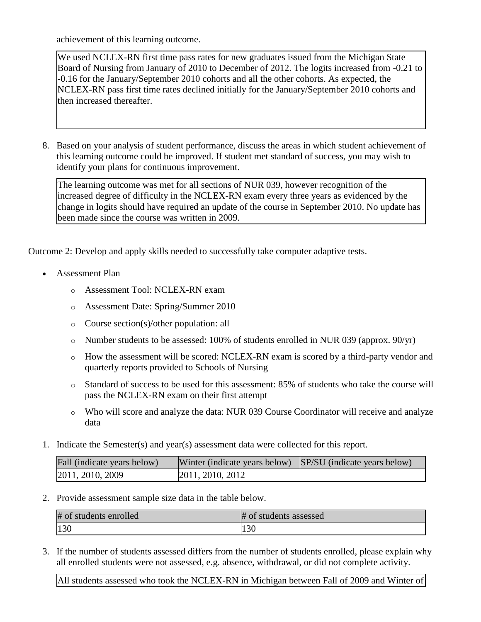achievement of this learning outcome.

We used NCLEX-RN first time pass rates for new graduates issued from the Michigan State Board of Nursing from January of 2010 to December of 2012. The logits increased from -0.21 to -0.16 for the January/September 2010 cohorts and all the other cohorts. As expected, the NCLEX-RN pass first time rates declined initially for the January/September 2010 cohorts and then increased thereafter.

8. Based on your analysis of student performance, discuss the areas in which student achievement of this learning outcome could be improved. If student met standard of success, you may wish to identify your plans for continuous improvement.

The learning outcome was met for all sections of NUR 039, however recognition of the increased degree of difficulty in the NCLEX-RN exam every three years as evidenced by the change in logits should have required an update of the course in September 2010. No update has been made since the course was written in 2009.

Outcome 2: Develop and apply skills needed to successfully take computer adaptive tests.

- Assessment Plan
	- o Assessment Tool: NCLEX-RN exam
	- o Assessment Date: Spring/Summer 2010
	- o Course section(s)/other population: all
	- o Number students to be assessed: 100% of students enrolled in NUR 039 (approx. 90/yr)
	- o How the assessment will be scored: NCLEX-RN exam is scored by a third-party vendor and quarterly reports provided to Schools of Nursing
	- o Standard of success to be used for this assessment: 85% of students who take the course will pass the NCLEX-RN exam on their first attempt
	- o Who will score and analyze the data: NUR 039 Course Coordinator will receive and analyze data
- 1. Indicate the Semester(s) and year(s) assessment data were collected for this report.

| Fall (indicate years below) | Winter (indicate years below) SP/SU (indicate years below) |  |
|-----------------------------|------------------------------------------------------------|--|
| 2011, 2010, 2009            | 2011, 2010, 2012                                           |  |

2. Provide assessment sample size data in the table below.

| # of students enrolled | # of students assessed |
|------------------------|------------------------|
| 130                    | 130                    |

3. If the number of students assessed differs from the number of students enrolled, please explain why all enrolled students were not assessed, e.g. absence, withdrawal, or did not complete activity.

All students assessed who took the NCLEX-RN in Michigan between Fall of 2009 and Winter of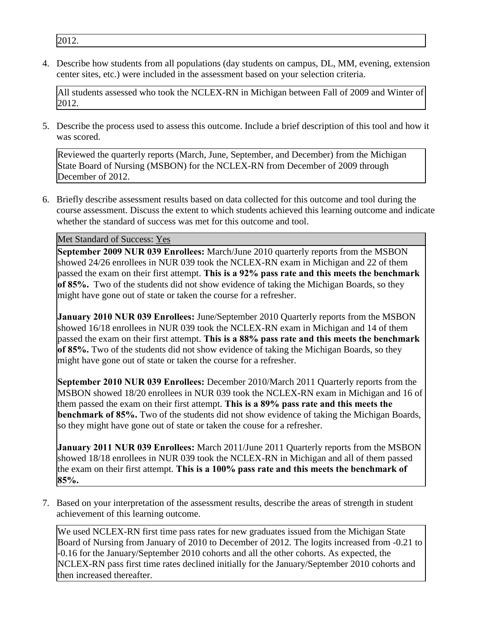2012.

4. Describe how students from all populations (day students on campus, DL, MM, evening, extension center sites, etc.) were included in the assessment based on your selection criteria.

All students assessed who took the NCLEX-RN in Michigan between Fall of 2009 and Winter of 2012.

5. Describe the process used to assess this outcome. Include a brief description of this tool and how it was scored.

Reviewed the quarterly reports (March, June, September, and December) from the Michigan State Board of Nursing (MSBON) for the NCLEX-RN from December of 2009 through December of 2012.

6. Briefly describe assessment results based on data collected for this outcome and tool during the course assessment. Discuss the extent to which students achieved this learning outcome and indicate whether the standard of success was met for this outcome and tool.

Met Standard of Success: Yes

**September 2009 NUR 039 Enrollees:** March/June 2010 quarterly reports from the MSBON showed 24/26 enrollees in NUR 039 took the NCLEX-RN exam in Michigan and 22 of them passed the exam on their first attempt. **This is a 92% pass rate and this meets the benchmark of 85%.** Two of the students did not show evidence of taking the Michigan Boards, so they might have gone out of state or taken the course for a refresher.

**January 2010 NUR 039 Enrollees:** June/September 2010 Quarterly reports from the MSBON showed 16/18 enrollees in NUR 039 took the NCLEX-RN exam in Michigan and 14 of them passed the exam on their first attempt. **This is a 88% pass rate and this meets the benchmark of 85%.** Two of the students did not show evidence of taking the Michigan Boards, so they might have gone out of state or taken the course for a refresher.

**September 2010 NUR 039 Enrollees:** December 2010/March 2011 Quarterly reports from the MSBON showed 18/20 enrollees in NUR 039 took the NCLEX-RN exam in Michigan and 16 of them passed the exam on their first attempt. **This is a 89% pass rate and this meets the benchmark of 85%.** Two of the students did not show evidence of taking the Michigan Boards, so they might have gone out of state or taken the couse for a refresher.

**January 2011 NUR 039 Enrollees:** March 2011/June 2011 Quarterly reports from the MSBON showed 18/18 enrollees in NUR 039 took the NCLEX-RN in Michigan and all of them passed the exam on their first attempt. **This is a 100% pass rate and this meets the benchmark of 85%.**

7. Based on your interpretation of the assessment results, describe the areas of strength in student achievement of this learning outcome.

We used NCLEX-RN first time pass rates for new graduates issued from the Michigan State Board of Nursing from January of 2010 to December of 2012. The logits increased from -0.21 to -0.16 for the January/September 2010 cohorts and all the other cohorts. As expected, the NCLEX-RN pass first time rates declined initially for the January/September 2010 cohorts and then increased thereafter.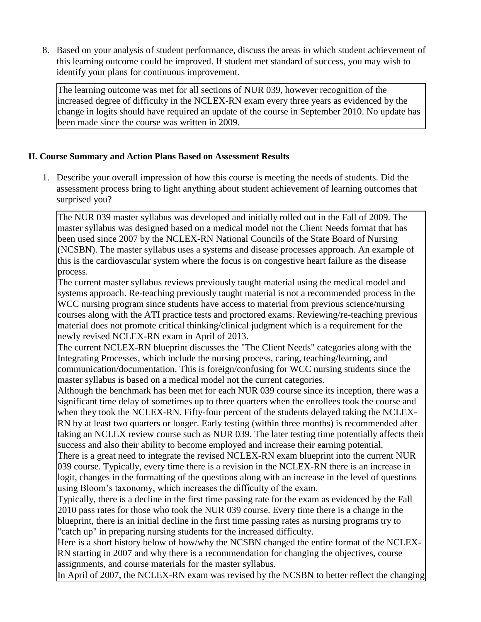8. Based on your analysis of student performance, discuss the areas in which student achievement of this learning outcome could be improved. If student met standard of success, you may wish to identify your plans for continuous improvement.

The learning outcome was met for all sections of NUR 039, however recognition of the increased degree of difficulty in the NCLEX-RN exam every three years as evidenced by the change in logits should have required an update of the course in September 2010. No update has been made since the course was written in 2009.

## **II. Course Summary and Action Plans Based on Assessment Results**

1. Describe your overall impression of how this course is meeting the needs of students. Did the assessment process bring to light anything about student achievement of learning outcomes that surprised you?

The NUR 039 master syllabus was developed and initially rolled out in the Fall of 2009. The master syllabus was designed based on a medical model not the Client Needs format that has been used since 2007 by the NCLEX-RN National Councils of the State Board of Nursing (NCSBN). The master syllabus uses a systems and disease processes approach. An example of this is the cardiovascular system where the focus is on congestive heart failure as the disease process.

The current master syllabus reviews previously taught material using the medical model and systems approach. Re-teaching previously taught material is not a recommended process in the WCC nursing program since students have access to material from previous science/nursing courses along with the ATI practice tests and proctored exams. Reviewing/re-teaching previous material does not promote critical thinking/clinical judgment which is a requirement for the newly revised NCLEX-RN exam in April of 2013.

The current NCLEX-RN blueprint discusses the "The Client Needs" categories along with the Integrating Processes, which include the nursing process, caring, teaching/learning, and communication/documentation. This is foreign/confusing for WCC nursing students since the master syllabus is based on a medical model not the current categories.

Although the benchmark has been met for each NUR 039 course since its inception, there was a significant time delay of sometimes up to three quarters when the enrollees took the course and when they took the NCLEX-RN. Fifty-four percent of the students delayed taking the NCLEX-RN by at least two quarters or longer. Early testing (within three months) is recommended after taking an NCLEX review course such as NUR 039. The later testing time potentially affects their success and also their ability to become employed and increase their earning potential.

There is a great need to integrate the revised NCLEX-RN exam blueprint into the current NUR 039 course. Typically, every time there is a revision in the NCLEX-RN there is an increase in logit, changes in the formatting of the questions along with an increase in the level of questions using Bloom's taxonomy, which increases the difficulty of the exam.

Typically, there is a decline in the first time passing rate for the exam as evidenced by the Fall 2010 pass rates for those who took the NUR 039 course. Every time there is a change in the blueprint, there is an initial decline in the first time passing rates as nursing programs try to "catch up" in preparing nursing students for the increased difficulty.

Here is a short history below of how/why the NCSBN changed the entire format of the NCLEX-RN starting in 2007 and why there is a recommendation for changing the objectives, course assignments, and course materials for the master syllabus.

In April of 2007, the NCLEX-RN exam was revised by the NCSBN to better reflect the changing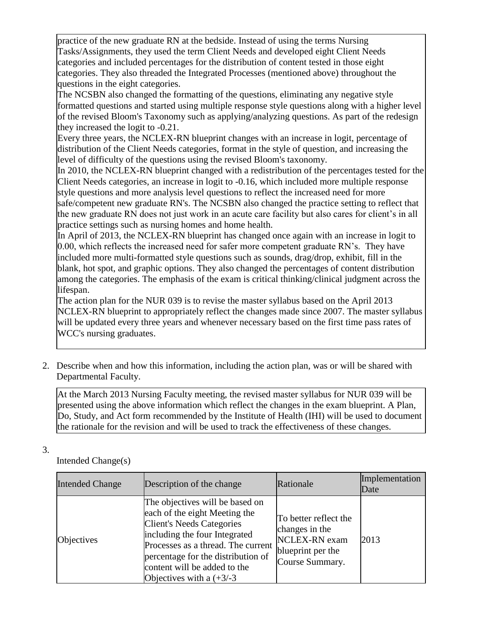practice of the new graduate RN at the bedside. Instead of using the terms Nursing Tasks/Assignments, they used the term Client Needs and developed eight Client Needs categories and included percentages for the distribution of content tested in those eight categories. They also threaded the Integrated Processes (mentioned above) throughout the questions in the eight categories.

The NCSBN also changed the formatting of the questions, eliminating any negative style formatted questions and started using multiple response style questions along with a higher level of the revised Bloom's Taxonomy such as applying/analyzing questions. As part of the redesign they increased the logit to  $-0.21$ .

Every three years, the NCLEX-RN blueprint changes with an increase in logit, percentage of distribution of the Client Needs categories, format in the style of question, and increasing the level of difficulty of the questions using the revised Bloom's taxonomy.

In 2010, the NCLEX-RN blueprint changed with a redistribution of the percentages tested for the Client Needs categories, an increase in logit to -0.16, which included more multiple response style questions and more analysis level questions to reflect the increased need for more safe/competent new graduate RN's. The NCSBN also changed the practice setting to reflect that the new graduate RN does not just work in an acute care facility but also cares for client's in all practice settings such as nursing homes and home health.

In April of 2013, the NCLEX-RN blueprint has changed once again with an increase in logit to 0.00, which reflects the increased need for safer more competent graduate RN's. They have included more multi-formatted style questions such as sounds, drag/drop, exhibit, fill in the blank, hot spot, and graphic options. They also changed the percentages of content distribution among the categories. The emphasis of the exam is critical thinking/clinical judgment across the lifespan.

The action plan for the NUR 039 is to revise the master syllabus based on the April 2013 NCLEX-RN blueprint to appropriately reflect the changes made since 2007. The master syllabus will be updated every three years and whenever necessary based on the first time pass rates of WCC's nursing graduates.

2. Describe when and how this information, including the action plan, was or will be shared with Departmental Faculty.

At the March 2013 Nursing Faculty meeting, the revised master syllabus for NUR 039 will be presented using the above information which reflect the changes in the exam blueprint. A Plan, Do, Study, and Act form recommended by the Institute of Health (IHI) will be used to document the rationale for the revision and will be used to track the effectiveness of these changes.

3.

Intended Change(s)

| <b>Intended Change</b> | Description of the change                                                                                                                                                                                                                                                        | Rationale                                                                                        | Implementation<br>Date |
|------------------------|----------------------------------------------------------------------------------------------------------------------------------------------------------------------------------------------------------------------------------------------------------------------------------|--------------------------------------------------------------------------------------------------|------------------------|
| Objectives             | The objectives will be based on<br>each of the eight Meeting the<br><b>Client's Needs Categories</b><br>including the four Integrated<br>Processes as a thread. The current<br>percentage for the distribution of<br>content will be added to the<br>Objectives with a $(+3/-3)$ | To better reflect the<br>changes in the<br>NCLEX-RN exam<br>blueprint per the<br>Course Summary. | 2013                   |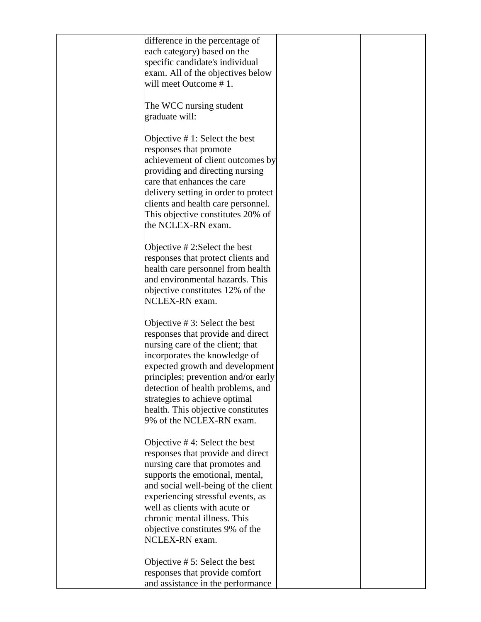| difference in the percentage of      |  |
|--------------------------------------|--|
| each category) based on the          |  |
| specific candidate's individual      |  |
|                                      |  |
| exam. All of the objectives below    |  |
| will meet Outcome #1.                |  |
|                                      |  |
| The WCC nursing student              |  |
| graduate will:                       |  |
|                                      |  |
|                                      |  |
| Objective $# 1$ : Select the best    |  |
| responses that promote               |  |
| achievement of client outcomes by    |  |
|                                      |  |
| providing and directing nursing      |  |
| care that enhances the care          |  |
| delivery setting in order to protect |  |
| clients and health care personnel.   |  |
| This objective constitutes 20% of    |  |
|                                      |  |
| the NCLEX-RN exam.                   |  |
|                                      |  |
| Objective $# 2$ : Select the best    |  |
| responses that protect clients and   |  |
| health care personnel from health    |  |
|                                      |  |
| and environmental hazards. This      |  |
| objective constitutes 12% of the     |  |
| NCLEX-RN exam.                       |  |
|                                      |  |
|                                      |  |
| Objective $# 3$ : Select the best    |  |
| responses that provide and direct    |  |
| nursing care of the client; that     |  |
| incorporates the knowledge of        |  |
| expected growth and development      |  |
| principles; prevention and/or early  |  |
|                                      |  |
| detection of health problems, and    |  |
| strategies to achieve optimal        |  |
| health. This objective constitutes   |  |
| 9% of the NCLEX-RN exam.             |  |
|                                      |  |
|                                      |  |
| Objective $#4$ : Select the best     |  |
| responses that provide and direct    |  |
| nursing care that promotes and       |  |
| supports the emotional, mental,      |  |
| and social well-being of the client  |  |
|                                      |  |
| experiencing stressful events, as    |  |
| well as clients with acute or        |  |
| chronic mental illness. This         |  |
| objective constitutes 9% of the      |  |
| NCLEX-RN exam.                       |  |
|                                      |  |
|                                      |  |
| Objective $# 5$ : Select the best    |  |
| responses that provide comfort       |  |
| and assistance in the performance    |  |
|                                      |  |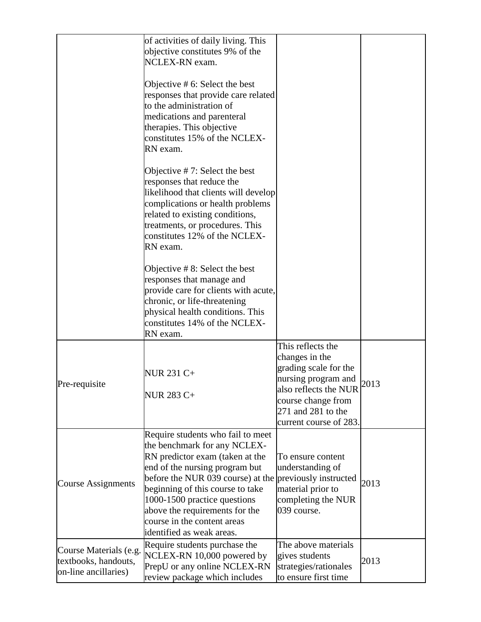|                                                                        | of activities of daily living. This<br>objective constitutes 9% of the<br>NCLEX-RN exam.                                                                                                                                                                                                                                                                            |                                                                                                                                                                                    |      |
|------------------------------------------------------------------------|---------------------------------------------------------------------------------------------------------------------------------------------------------------------------------------------------------------------------------------------------------------------------------------------------------------------------------------------------------------------|------------------------------------------------------------------------------------------------------------------------------------------------------------------------------------|------|
|                                                                        | Objective $# 6$ : Select the best<br>responses that provide care related<br>to the administration of<br>medications and parenteral<br>therapies. This objective<br>constitutes 15% of the NCLEX-<br>RN exam.                                                                                                                                                        |                                                                                                                                                                                    |      |
|                                                                        | Objective $# 7$ : Select the best<br>responses that reduce the<br>likelihood that clients will develop<br>complications or health problems<br>related to existing conditions,<br>treatments, or procedures. This<br>constitutes 12% of the NCLEX-<br>RN exam.                                                                                                       |                                                                                                                                                                                    |      |
|                                                                        | Objective $# 8$ : Select the best<br>responses that manage and<br>provide care for clients with acute,<br>chronic, or life-threatening<br>physical health conditions. This<br>constitutes 14% of the NCLEX-<br>RN exam.                                                                                                                                             |                                                                                                                                                                                    |      |
| Pre-requisite                                                          | NUR 231 C+<br><b>NUR 283 C+</b>                                                                                                                                                                                                                                                                                                                                     | This reflects the<br>changes in the<br>grading scale for the<br>nursing program and<br>also reflects the NUR<br>course change from<br>271 and 281 to the<br>current course of 283. | 2013 |
| <b>Course Assignments</b>                                              | Require students who fail to meet<br>the benchmark for any NCLEX-<br>RN predictor exam (taken at the<br>end of the nursing program but<br>before the NUR 039 course) at the previously instructed<br>beginning of this course to take<br>1000-1500 practice questions<br>above the requirements for the<br>course in the content areas<br>identified as weak areas. | To ensure content<br>understanding of<br>material prior to<br>completing the NUR<br>039 course.                                                                                    | 2013 |
| Course Materials (e.g.<br>textbooks, handouts,<br>on-line ancillaries) | Require students purchase the<br>NCLEX-RN 10,000 powered by<br>PrepU or any online NCLEX-RN<br>review package which includes                                                                                                                                                                                                                                        | The above materials<br>gives students<br>strategies/rationales<br>to ensure first time                                                                                             | 2013 |